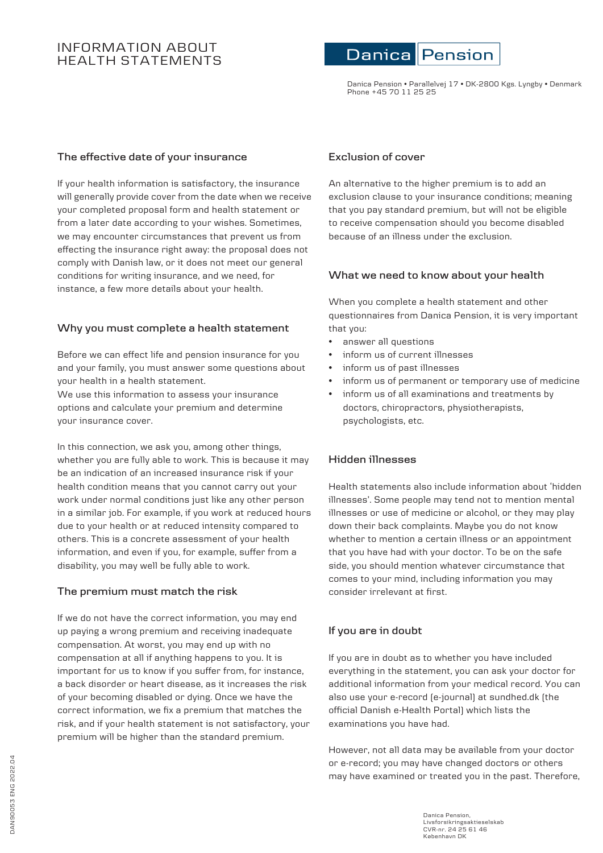# INFORMATION ABOUT HEALTH STATEMENTS

#### Danica Pension

Danica Pension • Parallelvej 17 • DK-2800 Kgs. Lyngby • Denmark Phone +45 70 11 25 25

#### **The effective date of your insurance**

If your health information is satisfactory, the insurance will generally provide cover from the date when we receive your completed proposal form and health statement or from a later date according to your wishes. Sometimes, we may encounter circumstances that prevent us from effecting the insurance right away: the proposal does not comply with Danish law, or it does not meet our general conditions for writing insurance, and we need, for instance, a few more details about your health.

#### **Why you must complete a health statement**

Before we can effect life and pension insurance for you and your family, you must answer some questions about your health in a health statement.

We use this information to assess your insurance options and calculate your premium and determine your insurance cover.

In this connection, we ask you, among other things, whether you are fully able to work. This is because it may be an indication of an increased insurance risk if your health condition means that you cannot carry out your work under normal conditions just like any other person in a similar job. For example, if you work at reduced hours due to your health or at reduced intensity compared to others. This is a concrete assessment of your health information, and even if you, for example, suffer from a disability, you may well be fully able to work.

## **The premium must match the risk**

If we do not have the correct information, you may end up paying a wrong premium and receiving inadequate compensation. At worst, you may end up with no compensation at all if anything happens to you. It is important for us to know if you suffer from, for instance, a back disorder or heart disease, as it increases the risk of your becoming disabled or dying. Once we have the correct information, we fix a premium that matches the risk, and if your health statement is not satisfactory, your premium will be higher than the standard premium.

#### **Exclusion of cover**

An alternative to the higher premium is to add an exclusion clause to your insurance conditions; meaning that you pay standard premium, but will not be eligible to receive compensation should you become disabled because of an illness under the exclusion.

#### **What we need to know about your health**

When you complete a health statement and other questionnaires from Danica Pension, it is very important that you:

- answer all questions
- inform us of current illnesses
- inform us of past illnesses
- inform us of permanent or temporary use of medicine
- inform us of all examinations and treatments by doctors, chiropractors, physiotherapists, psychologists, etc.

#### **Hidden illnesses**

Health statements also include information about 'hidden illnesses'. Some people may tend not to mention mental illnesses or use of medicine or alcohol, or they may play down their back complaints. Maybe you do not know whether to mention a certain illness or an appointment that you have had with your doctor. To be on the safe side, you should mention whatever circumstance that comes to your mind, including information you may consider irrelevant at first.

## **If you are in doubt**

If you are in doubt as to whether you have included everything in the statement, you can ask your doctor for additional information from your medical record. You can also use your e-record (e-journal) at sundhed.dk (the official Danish e-Health Portal) which lists the examinations you have had.

However, not all data may be available from your doctor or e-record; you may have changed doctors or others may have examined or treated you in the past. Therefore,